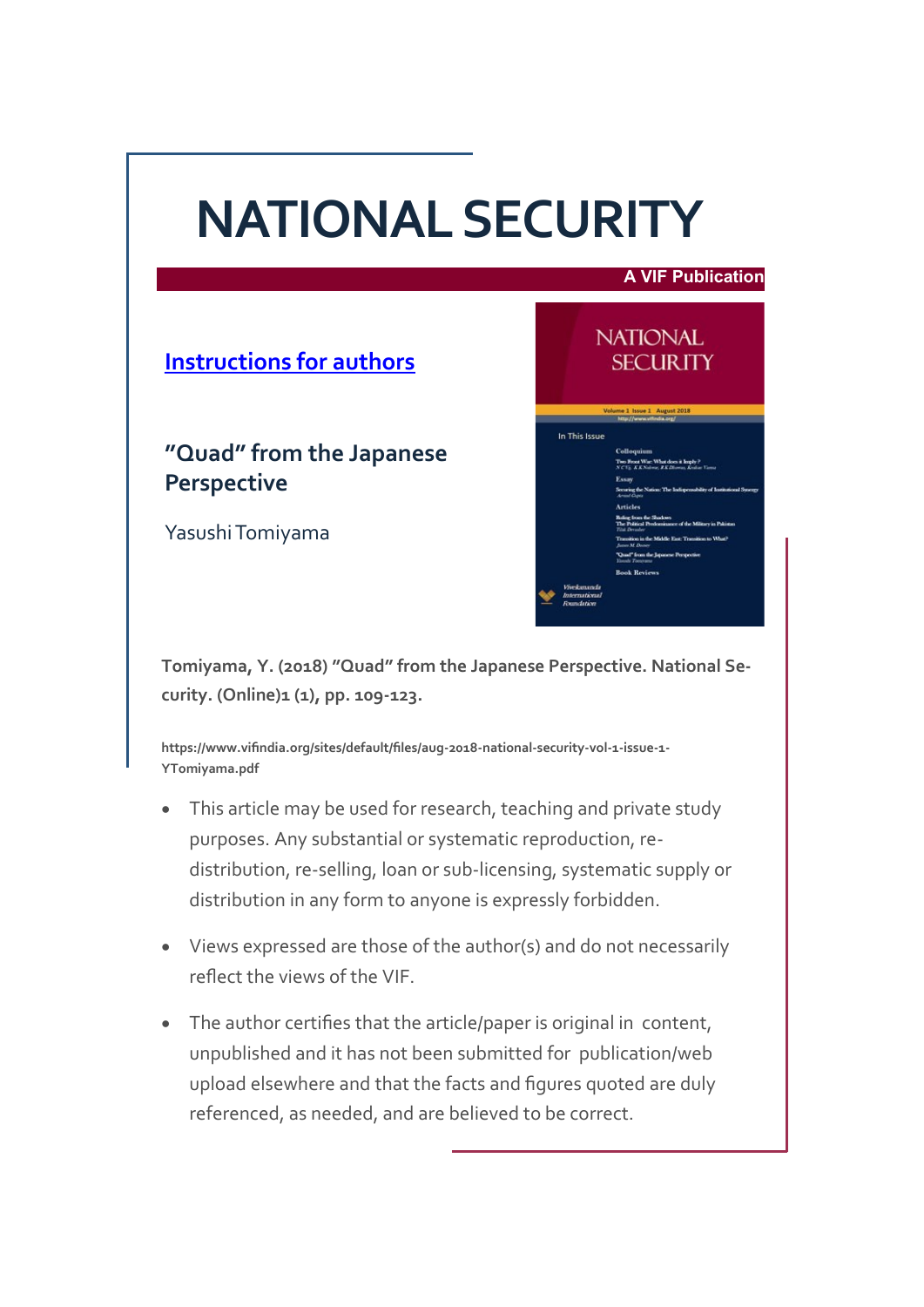# **NATIONAL SECURITY**



**Tomiyama, Y. (2018) "Quad" from the Japanese Perspective. National Security. (Online)1 (1), pp. 109-123.**

**https://www.vifindia.org/sites/default/files/aug-2018-national-security-vol-1-issue-1- YTomiyama.pdf**

- This article may be used for research, teaching and private study purposes. Any substantial or systematic reproduction, redistribution, re-selling, loan or sub-licensing, systematic supply or distribution in any form to anyone is expressly forbidden.
- Views expressed are those of the author(s) and do not necessarily reflect the views of the VIF.
- The author certifies that the article/paper is original in content, unpublished and it has not been submitted for publication/web upload elsewhere and that the facts and figures quoted are duly referenced, as needed, and are believed to be correct.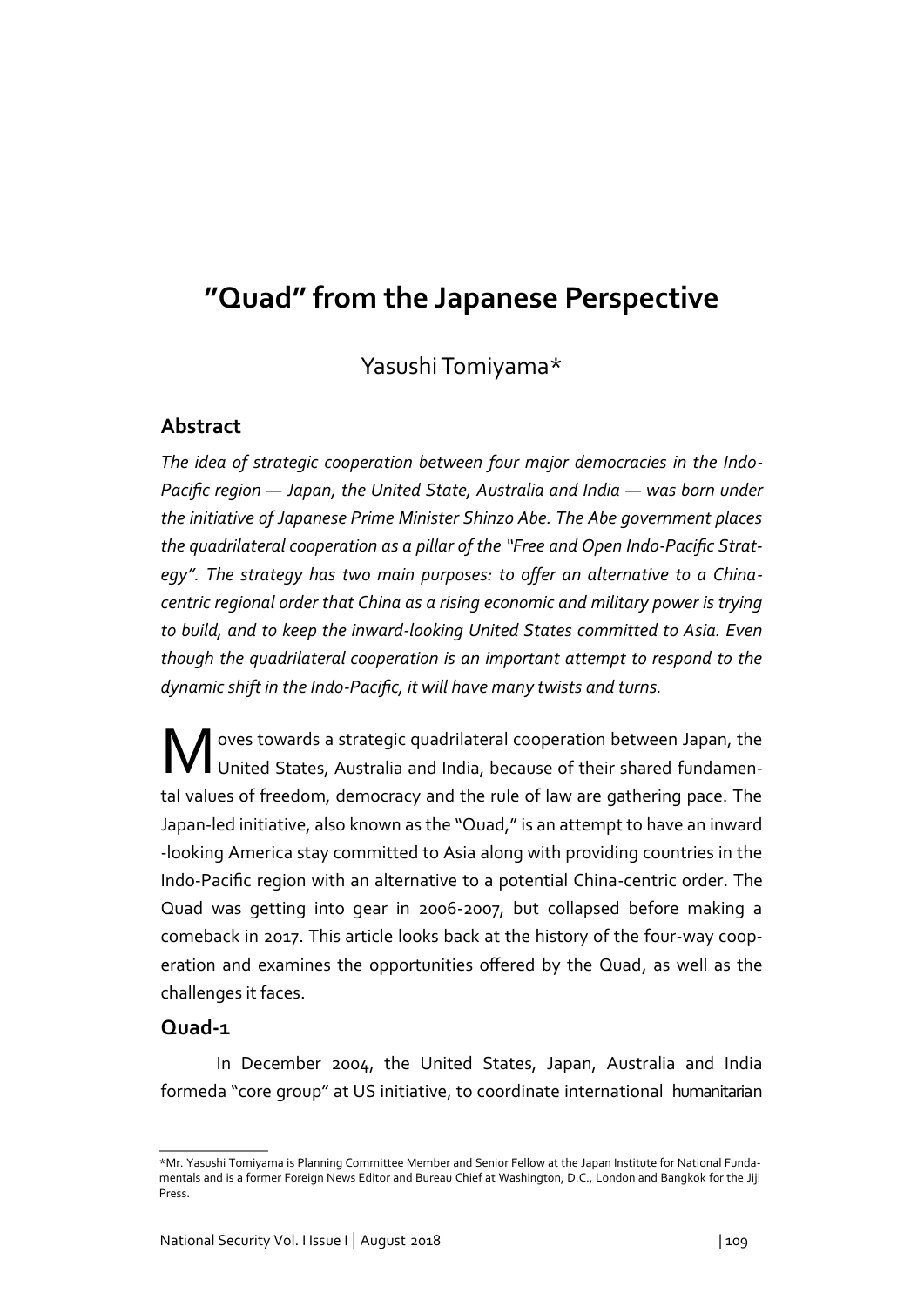# **"Quad" from the Japanese Perspective**

Yasushi Tomiyama\*

# **Abstract**

*The idea of strategic cooperation between four major democracies in the Indo-Pacific region ― Japan, the United State, Australia and India ― was born under the initiative of Japanese Prime Minister Shinzo Abe. The Abe government places the quadrilateral cooperation as a pillar of the "Free and Open Indo-Pacific Strategy". The strategy has two main purposes: to offer an alternative to a Chinacentric regional order that China as a rising economic and military power is trying to build, and to keep the inward-looking United States committed to Asia. Even though the quadrilateral cooperation is an important attempt to respond to the dynamic shift in the Indo-Pacific, it will have many twists and turns.*

Woves towards a strategic quadrilateral cooperation between Japan, the United States, Australia and India, because of their shared fundamental values of freedom, democracy and the rule of law are gathering pace. The Japan-led initiative, also known as the "Quad," is an attempt to have an inward -looking America stay committed to Asia along with providing countries in the Indo-Pacific region with an alternative to a potential China-centric order. The Quad was getting into gear in 2006-2007, but collapsed before making a comeback in 2017. This article looks back at the history of the four-way cooperation and examines the opportunities offered by the Quad, as well as the challenges it faces.

# **Quad-1**

In December 2004, the United States, Japan, Australia and India formeda "core group" at US initiative, to coordinate international humanitarian

<sup>\*</sup>Mr. Yasushi Tomiyama is Planning Committee Member and Senior Fellow at the Japan Institute for National Fundamentals and is a former Foreign News Editor and Bureau Chief at Washington, D.C., London and Bangkok for the Jiji Press.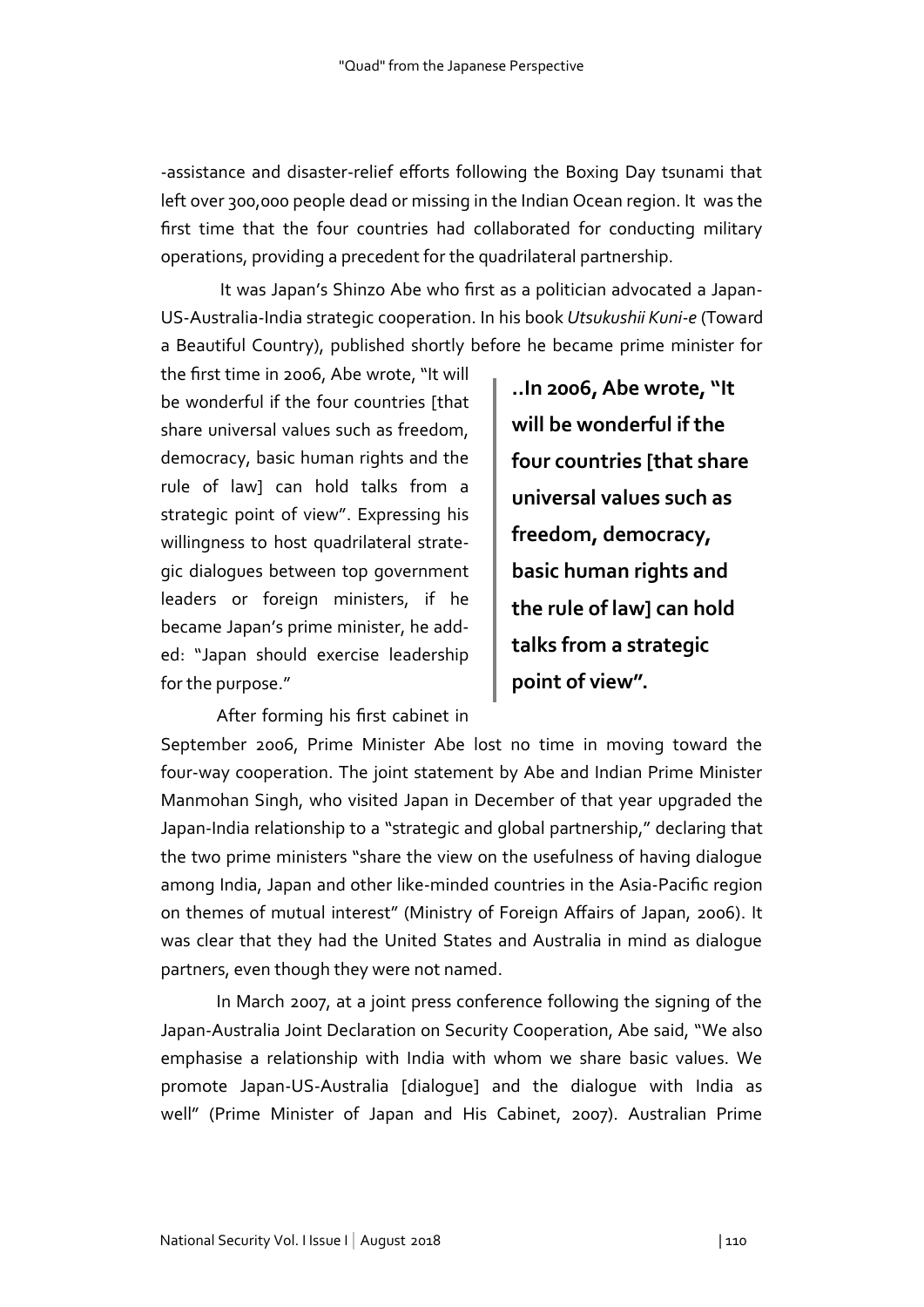-assistance and disaster-relief efforts following the Boxing Day tsunami that left over 300,000 people dead or missing in the Indian Ocean region. It was the first time that the four countries had collaborated for conducting military operations, providing a precedent for the quadrilateral partnership.

It was Japan's Shinzo Abe who first as a politician advocated a Japan-US-Australia-India strategic cooperation. In his book *Utsukushii Kuni-e* (Toward a Beautiful Country), published shortly before he became prime minister for

the first time in 2006, Abe wrote, "It will be wonderful if the four countries [that share universal values such as freedom, democracy, basic human rights and the rule of law] can hold talks from a strategic point of view". Expressing his willingness to host quadrilateral strategic dialogues between top government leaders or foreign ministers, if he became Japan's prime minister, he added: "Japan should exercise leadership for the purpose."

After forming his first cabinet in

**..In 2006, Abe wrote, "It will be wonderful if the four countries [that share universal values such as freedom, democracy, basic human rights and the rule of law] can hold talks from a strategic point of view".**

September 2006, Prime Minister Abe lost no time in moving toward the four-way cooperation. The joint statement by Abe and Indian Prime Minister Manmohan Singh, who visited Japan in December of that year upgraded the Japan-India relationship to a "strategic and global partnership," declaring that the two prime ministers "share the view on the usefulness of having dialogue among India, Japan and other like-minded countries in the Asia-Pacific region on themes of mutual interest" (Ministry of Foreign Affairs of Japan, 2006). It was clear that they had the United States and Australia in mind as dialogue partners, even though they were not named.

 In March 2007, at a joint press conference following the signing of the Japan-Australia Joint Declaration on Security Cooperation, Abe said, "We also emphasise a relationship with India with whom we share basic values. We promote Japan-US-Australia [dialogue] and the dialogue with India as well" (Prime Minister of Japan and His Cabinet, 2007). Australian Prime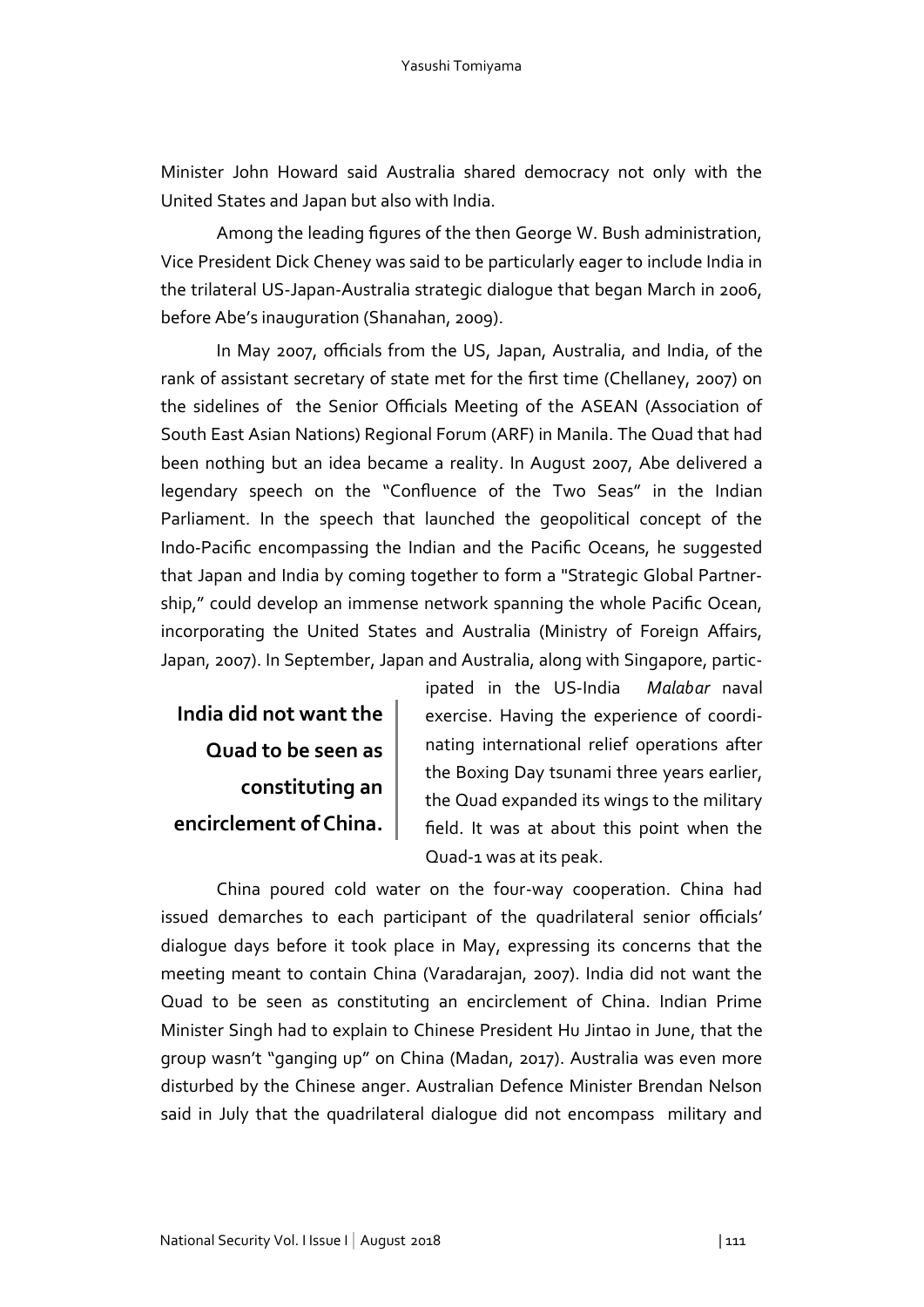Minister John Howard said Australia shared democracy not only with the United States and Japan but also with India.

Among the leading figures of the then George W. Bush administration, Vice President Dick Cheney was said to be particularly eager to include India in the trilateral US-Japan-Australia strategic dialogue that began March in 2006, before Abe's inauguration (Shanahan, 2009).

 In May 2007, officials from the US, Japan, Australia, and India, of the rank of assistant secretary of state met for the first time (Chellaney, 2007) on the sidelines of the Senior Officials Meeting of the ASEAN (Association of South East Asian Nations) Regional Forum (ARF) in Manila. The Quad that had been nothing but an idea became a reality. In August 2007, Abe delivered a legendary speech on the "Confluence of the Two Seas" in the Indian Parliament. In the speech that launched the geopolitical concept of the Indo-Pacific encompassing the Indian and the Pacific Oceans, he suggested that Japan and India by coming together to form a "Strategic Global Partnership," could develop an immense network spanning the whole Pacific Ocean, incorporating the United States and Australia (Ministry of Foreign Affairs, Japan, 2007). In September, Japan and Australia, along with Singapore, partic-

**India did not want the Quad to be seen as constituting an encirclement of China.** 

ipated in the US-India *Malabar* naval exercise. Having the experience of coordinating international relief operations after the Boxing Day tsunami three years earlier, the Quad expanded its wings to the military field. It was at about this point when the Quad-1 was at its peak.

China poured cold water on the four-way cooperation. China had issued demarches to each participant of the quadrilateral senior officials' dialogue days before it took place in May, expressing its concerns that the meeting meant to contain China (Varadarajan, 2007). India did not want the Quad to be seen as constituting an encirclement of China. Indian Prime Minister Singh had to explain to Chinese President Hu Jintao in June, that the group wasn't "ganging up" on China (Madan, 2017). Australia was even more disturbed by the Chinese anger. Australian Defence Minister Brendan Nelson said in July that the quadrilateral dialogue did not encompass military and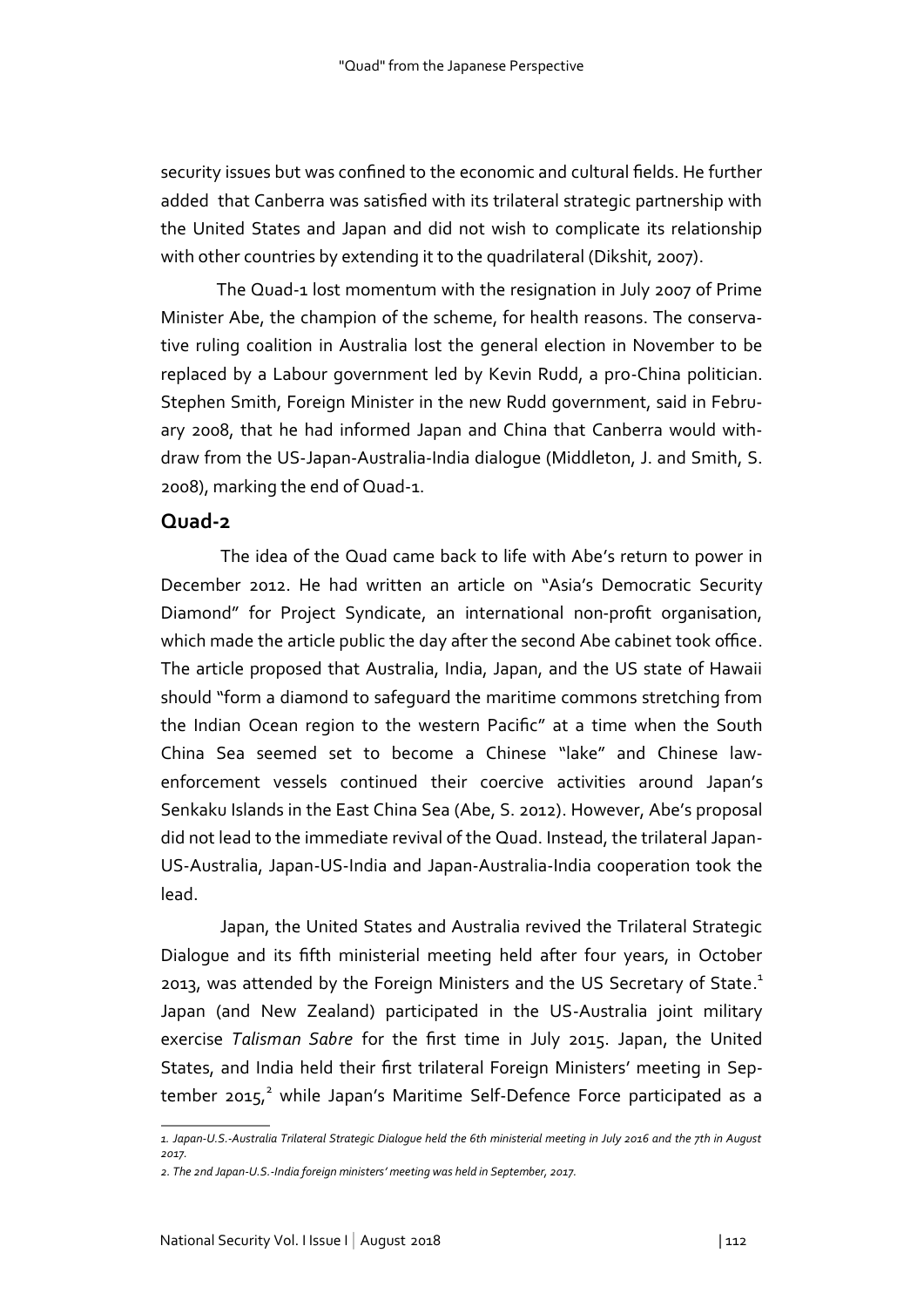security issues but was confined to the economic and cultural fields. He further added that Canberra was satisfied with its trilateral strategic partnership with the United States and Japan and did not wish to complicate its relationship with other countries by extending it to the quadrilateral (Dikshit, 2007).

The Quad-1 lost momentum with the resignation in July 2007 of Prime Minister Abe, the champion of the scheme, for health reasons. The conservative ruling coalition in Australia lost the general election in November to be replaced by a Labour government led by Kevin Rudd, a pro-China politician. Stephen Smith, Foreign Minister in the new Rudd government, said in February 2008, that he had informed Japan and China that Canberra would withdraw from the US-Japan-Australia-India dialogue (Middleton, J. and Smith, S. 2008), marking the end of Quad-1.

#### **Quad-2**

The idea of the Quad came back to life with Abe's return to power in December 2012. He had written an article on "Asia's Democratic Security Diamond" for Project Syndicate, an international non-profit organisation, which made the article public the day after the second Abe cabinet took office. The article proposed that Australia, India, Japan, and the US state of Hawaii should "form a diamond to safeguard the maritime commons stretching from the Indian Ocean region to the western Pacific" at a time when the South China Sea seemed set to become a Chinese "lake" and Chinese lawenforcement vessels continued their coercive activities around Japan's Senkaku Islands in the East China Sea (Abe, S. 2012). However, Abe's proposal did not lead to the immediate revival of the Quad. Instead, the trilateral Japan-US-Australia, Japan-US-India and Japan-Australia-India cooperation took the lead.

 Japan, the United States and Australia revived the Trilateral Strategic Dialogue and its fifth ministerial meeting held after four years, in October 2013, was attended by the Foreign Ministers and the US Secretary of State.<sup>1</sup> Japan (and New Zealand) participated in the US-Australia joint military exercise *Talisman Sabre* for the first time in July 2015. Japan, the United States, and India held their first trilateral Foreign Ministers' meeting in September 2015,<sup>2</sup> while Japan's Maritime Self-Defence Force participated as a

*<sup>1.</sup> Japan-U.S.-Australia Trilateral Strategic Dialogue held the 6th ministerial meeting in July 2016 and the 7th in August 2017.* 

*<sup>2.</sup> The 2nd Japan-U.S.-India foreign ministers' meeting was held in September, 2017.*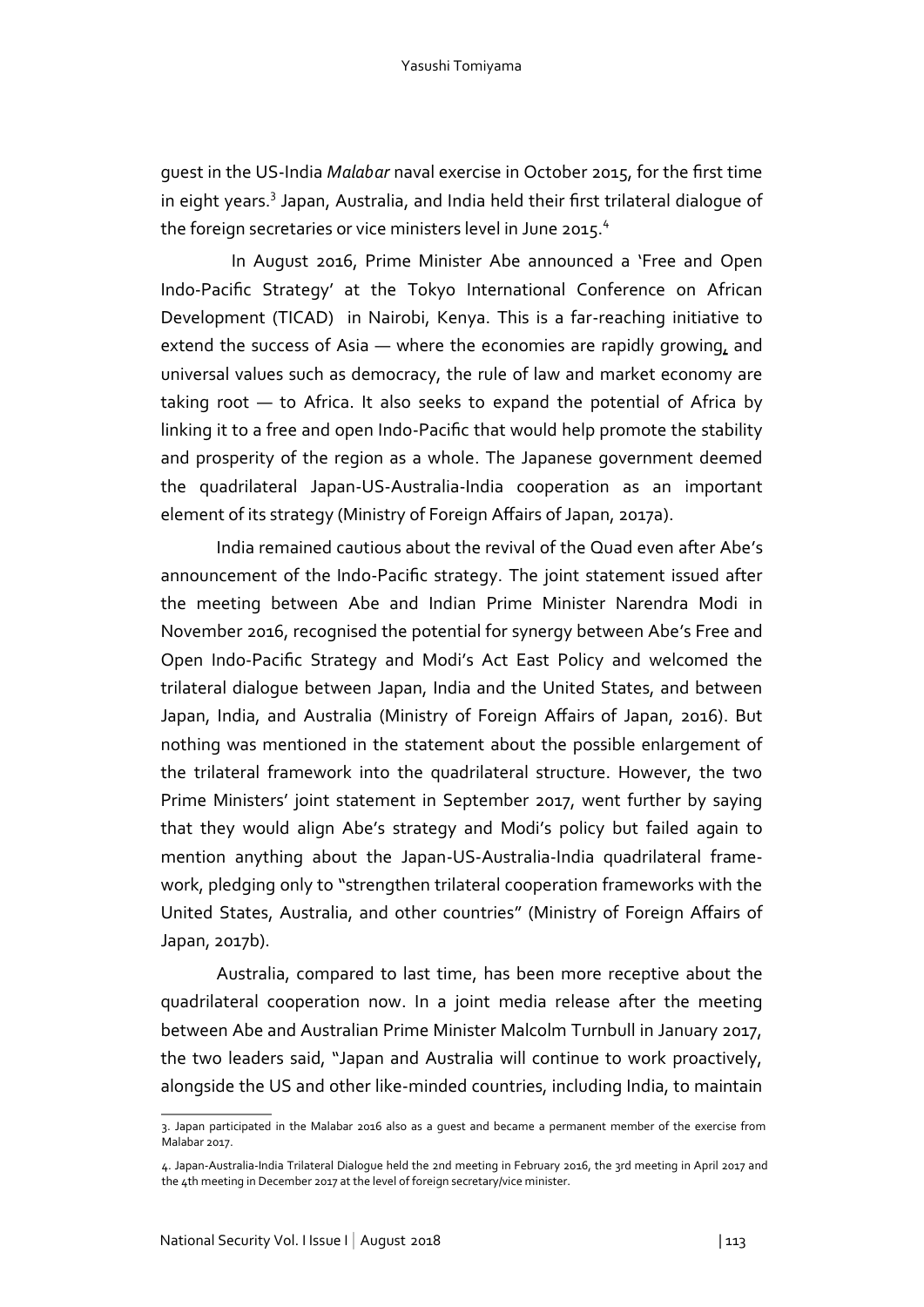guest in the US-India *Malabar* naval exercise in October 2015, for the first time in eight years.<sup>3</sup> Japan, Australia, and India held their first trilateral dialogue of the foreign secretaries or vice ministers level in June 2015.<sup>4</sup>

 In August 2016, Prime Minister Abe announced a 'Free and Open Indo-Pacific Strategy' at the Tokyo International Conference on African Development (TICAD) in Nairobi, Kenya. This is a far-reaching initiative to extend the success of Asia — where the economies are rapidly growing, and universal values such as democracy, the rule of law and market economy are taking root — to Africa. It also seeks to expand the potential of Africa by linking it to a free and open Indo-Pacific that would help promote the stability and prosperity of the region as a whole. The Japanese government deemed the quadrilateral Japan-US-Australia-India cooperation as an important element of its strategy (Ministry of Foreign Affairs of Japan, 2017a).

 India remained cautious about the revival of the Quad even after Abe's announcement of the Indo-Pacific strategy. The joint statement issued after the meeting between Abe and Indian Prime Minister Narendra Modi in November 2016, recognised the potential for synergy between Abe's Free and Open Indo-Pacific Strategy and Modi's Act East Policy and welcomed the trilateral dialogue between Japan, India and the United States, and between Japan, India, and Australia (Ministry of Foreign Affairs of Japan, 2016). But nothing was mentioned in the statement about the possible enlargement of the trilateral framework into the quadrilateral structure. However, the two Prime Ministers' joint statement in September 2017, went further by saying that they would align Abe's strategy and Modi's policy but failed again to mention anything about the Japan-US-Australia-India quadrilateral framework, pledging only to "strengthen trilateral cooperation frameworks with the United States, Australia, and other countries" (Ministry of Foreign Affairs of Japan, 2017b).

 Australia, compared to last time, has been more receptive about the quadrilateral cooperation now. In a joint media release after the meeting between Abe and Australian Prime Minister Malcolm Turnbull in January 2017, the two leaders said, "Japan and Australia will continue to work proactively, alongside the US and other like-minded countries, including India, to maintain

<sup>3.</sup> Japan participated in the Malabar 2016 also as a guest and became a permanent member of the exercise from Malabar 2017.

<sup>4.</sup> Japan-Australia-India Trilateral Dialogue held the 2nd meeting in February 2016, the 3rd meeting in April 2017 and the 4th meeting in December 2017 at the level of foreign secretary/vice minister.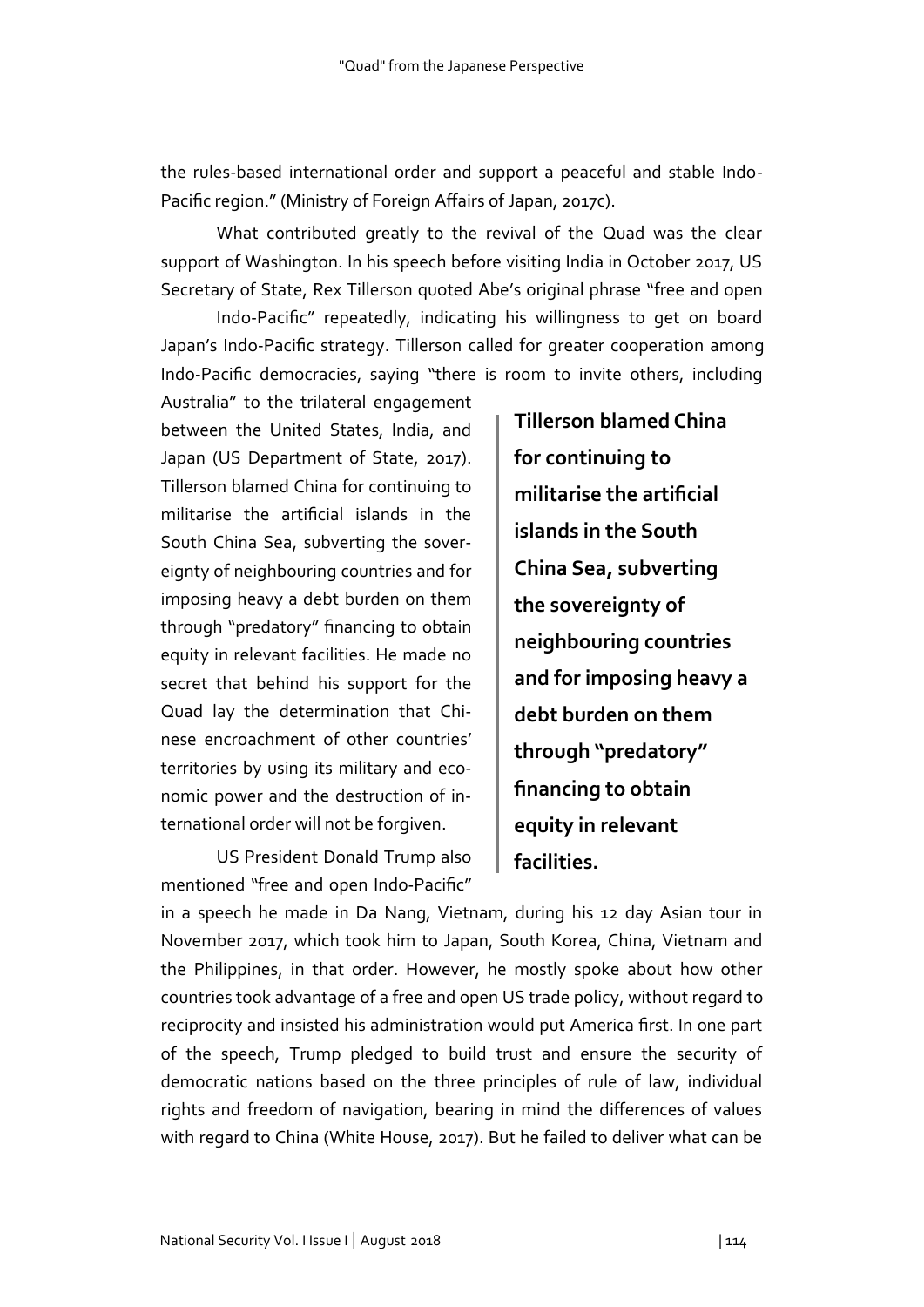the rules-based international order and support a peaceful and stable Indo-Pacific region." (Ministry of Foreign Affairs of Japan, 2017c).

 What contributed greatly to the revival of the Quad was the clear support of Washington. In his speech before visiting India in October 2017, US Secretary of State, Rex Tillerson quoted Abe's original phrase "free and open

Indo-Pacific" repeatedly, indicating his willingness to get on board Japan's Indo-Pacific strategy. Tillerson called for greater cooperation among Indo-Pacific democracies, saying "there is room to invite others, including

Australia" to the trilateral engagement between the United States, India, and Japan (US Department of State, 2017). Tillerson blamed China for continuing to militarise the artificial islands in the South China Sea, subverting the sovereignty of neighbouring countries and for imposing heavy a debt burden on them through "predatory" financing to obtain equity in relevant facilities. He made no secret that behind his support for the Quad lay the determination that Chinese encroachment of other countries' territories by using its military and economic power and the destruction of international order will not be forgiven.

 US President Donald Trump also mentioned "free and open Indo-Pacific"

**Tillerson blamed China for continuing to militarise the artificial islands in the South China Sea, subverting the sovereignty of neighbouring countries and for imposing heavy a debt burden on them through "predatory" financing to obtain equity in relevant facilities.**

in a speech he made in Da Nang, Vietnam, during his 12 day Asian tour in November 2017, which took him to Japan, South Korea, China, Vietnam and the Philippines, in that order. However, he mostly spoke about how other countries took advantage of a free and open US trade policy, without regard to reciprocity and insisted his administration would put America first. In one part of the speech, Trump pledged to build trust and ensure the security of democratic nations based on the three principles of rule of law, individual rights and freedom of navigation, bearing in mind the differences of values with regard to China (White House, 2017). But he failed to deliver what can be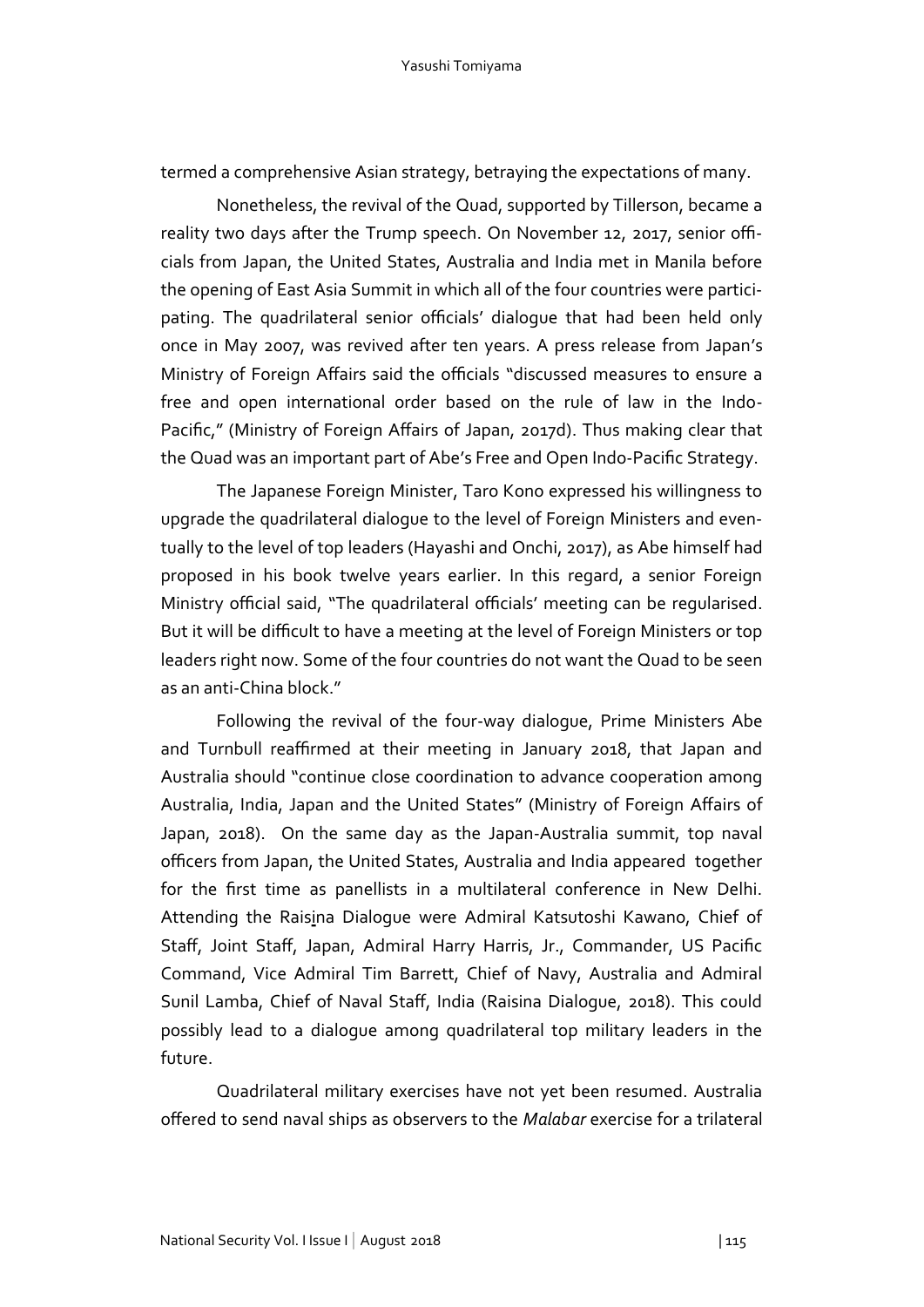termed a comprehensive Asian strategy, betraying the expectations of many.

 Nonetheless, the revival of the Quad, supported by Tillerson, became a reality two days after the Trump speech. On November 12, 2017, senior officials from Japan, the United States, Australia and India met in Manila before the opening of East Asia Summit in which all of the four countries were participating. The quadrilateral senior officials' dialogue that had been held only once in May 2007, was revived after ten years. A press release from Japan's Ministry of Foreign Affairs said the officials "discussed measures to ensure a free and open international order based on the rule of law in the Indo-Pacific," (Ministry of Foreign Affairs of Japan, 2017d). Thus making clear that the Quad was an important part of Abe's Free and Open Indo-Pacific Strategy.

 The Japanese Foreign Minister, Taro Kono expressed his willingness to upgrade the quadrilateral dialogue to the level of Foreign Ministers and eventually to the level of top leaders (Hayashi and Onchi, 2017), as Abe himself had proposed in his book twelve years earlier. In this regard, a senior Foreign Ministry official said, "The quadrilateral officials' meeting can be regularised. But it will be difficult to have a meeting at the level of Foreign Ministers or top leaders right now. Some of the four countries do not want the Quad to be seen as an anti-China block."

 Following the revival of the four-way dialogue, Prime Ministers Abe and Turnbull reaffirmed at their meeting in January 2018, that Japan and Australia should "continue close coordination to advance cooperation among Australia, India, Japan and the United States" (Ministry of Foreign Affairs of Japan, 2018). On the same day as the Japan-Australia summit, top naval officers from Japan, the United States, Australia and India appeared together for the first time as panellists in a multilateral conference in New Delhi. Attending the Raisina Dialogue were Admiral Katsutoshi Kawano, Chief of Staff, Joint Staff, Japan, Admiral Harry Harris, Jr., Commander, US Pacific Command, Vice Admiral Tim Barrett, Chief of Navy, Australia and Admiral Sunil Lamba, Chief of Naval Staff, India (Raisina Dialogue, 2018). This could possibly lead to a dialogue among quadrilateral top military leaders in the future.

 Quadrilateral military exercises have not yet been resumed. Australia offered to send naval ships as observers to the *Malabar* exercise for a trilateral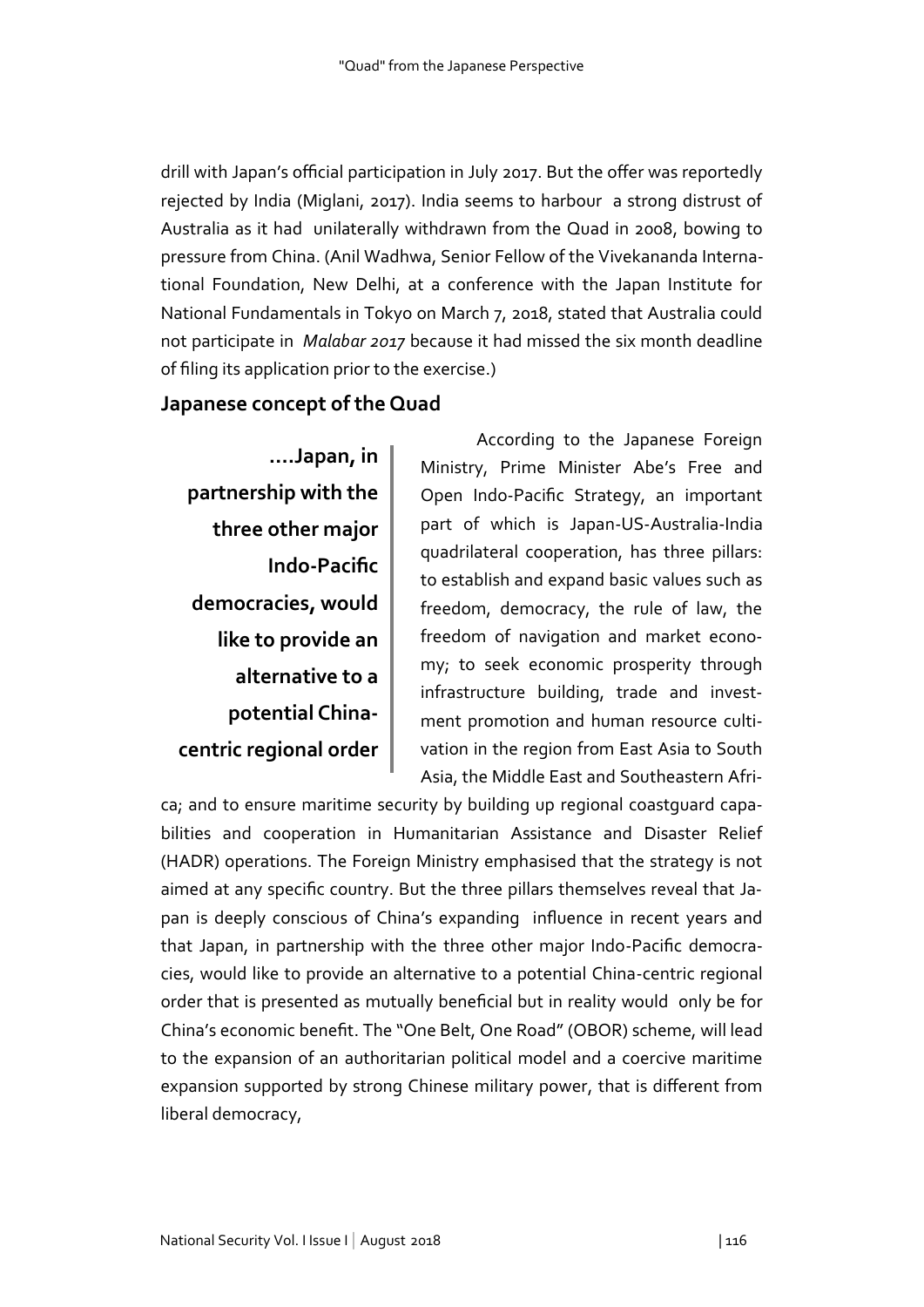drill with Japan's official participation in July 2017. But the offer was reportedly rejected by India (Miglani, 2017). India seems to harbour a strong distrust of Australia as it had unilaterally withdrawn from the Quad in 2008, bowing to pressure from China. (Anil Wadhwa, Senior Fellow of the Vivekananda International Foundation, New Delhi, at a conference with the Japan Institute for National Fundamentals in Tokyo on March 7, 2018, stated that Australia could not participate in *Malabar 2017* because it had missed the six month deadline of filing its application prior to the exercise.)

# **Japanese concept of the Quad**

**….Japan, in partnership with the three other major Indo-Pacific democracies, would like to provide an alternative to a potential Chinacentric regional order** 

 According to the Japanese Foreign Ministry, Prime Minister Abe's Free and Open Indo-Pacific Strategy, an important part of which is Japan-US-Australia-India quadrilateral cooperation, has three pillars: to establish and expand basic values such as freedom, democracy, the rule of law, the freedom of navigation and market economy; to seek economic prosperity through infrastructure building, trade and investment promotion and human resource cultivation in the region from East Asia to South Asia, the Middle East and Southeastern Afri-

ca; and to ensure maritime security by building up regional coastguard capabilities and cooperation in Humanitarian Assistance and Disaster Relief (HADR) operations. The Foreign Ministry emphasised that the strategy is not aimed at any specific country. But the three pillars themselves reveal that Japan is deeply conscious of China's expanding influence in recent years and that Japan, in partnership with the three other major Indo-Pacific democracies, would like to provide an alternative to a potential China-centric regional order that is presented as mutually beneficial but in reality would only be for China's economic benefit. The "One Belt, One Road" (OBOR) scheme, will lead to the expansion of an authoritarian political model and a coercive maritime expansion supported by strong Chinese military power, that is different from liberal democracy,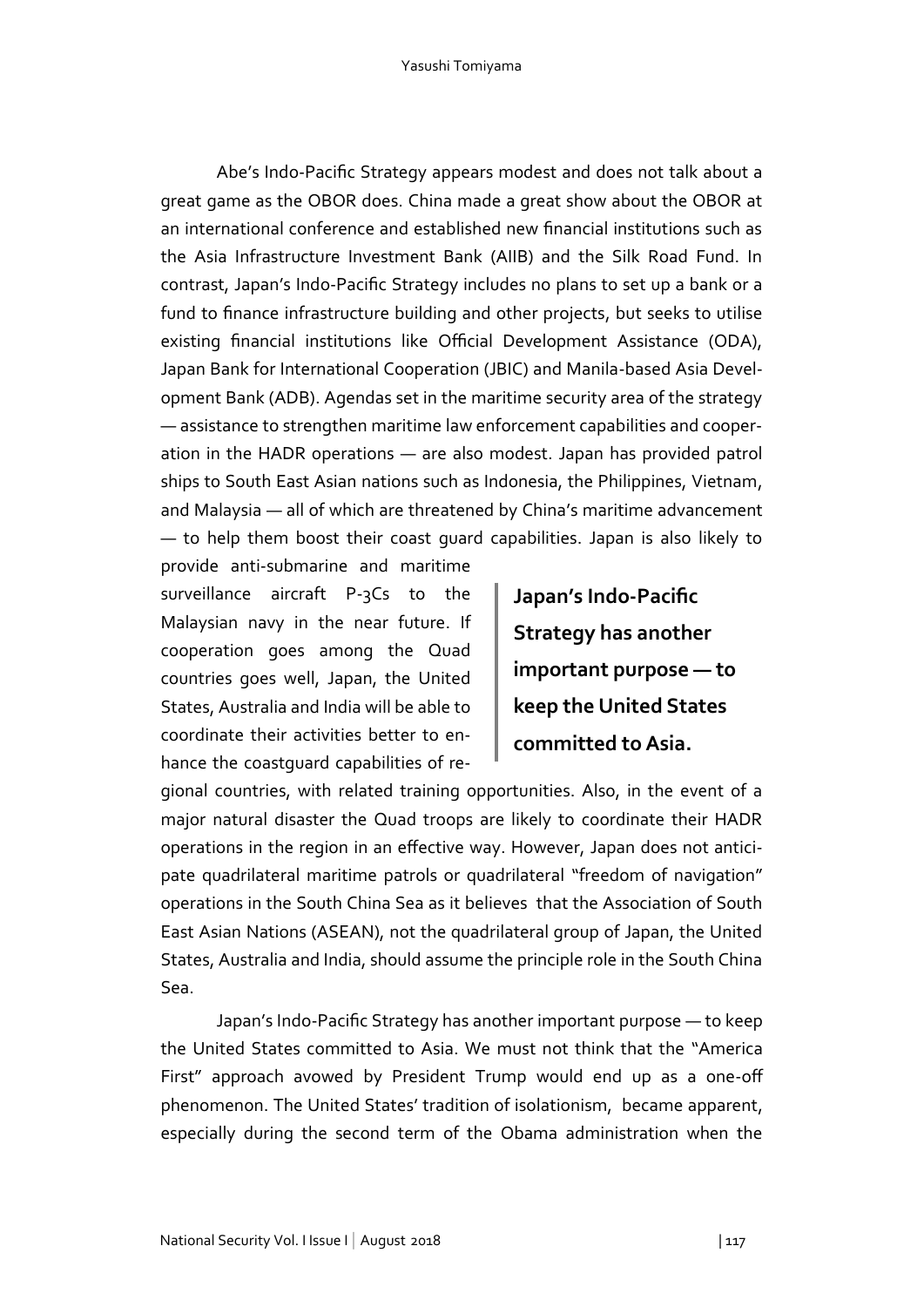Abe's Indo-Pacific Strategy appears modest and does not talk about a great game as the OBOR does. China made a great show about the OBOR at an international conference and established new financial institutions such as the Asia Infrastructure Investment Bank (AIIB) and the Silk Road Fund. In contrast, Japan's Indo-Pacific Strategy includes no plans to set up a bank or a fund to finance infrastructure building and other projects, but seeks to utilise existing financial institutions like Official Development Assistance (ODA), Japan Bank for International Cooperation (JBIC) and Manila-based Asia Development Bank (ADB). Agendas set in the maritime security area of the strategy — assistance to strengthen maritime law enforcement capabilities and cooperation in the HADR operations — are also modest. Japan has provided patrol ships to South East Asian nations such as Indonesia, the Philippines, Vietnam, and Malaysia — all of which are threatened by China's maritime advancement — to help them boost their coast guard capabilities. Japan is also likely to

provide anti-submarine and maritime surveillance aircraft P-3Cs to the Malaysian navy in the near future. If cooperation goes among the Quad countries goes well, Japan, the United States, Australia and India will be able to coordinate their activities better to enhance the coastguard capabilities of re-

**Japan's Indo-Pacific Strategy has another important purpose — to keep the United States committed to Asia.**

gional countries, with related training opportunities. Also, in the event of a major natural disaster the Quad troops are likely to coordinate their HADR operations in the region in an effective way. However, Japan does not anticipate quadrilateral maritime patrols or quadrilateral "freedom of navigation" operations in the South China Sea as it believes that the Association of South East Asian Nations (ASEAN), not the quadrilateral group of Japan, the United States, Australia and India, should assume the principle role in the South China Sea.

 Japan's Indo-Pacific Strategy has another important purpose — to keep the United States committed to Asia. We must not think that the "America First" approach avowed by President Trump would end up as a one-off phenomenon. The United States' tradition of isolationism, became apparent, especially during the second term of the Obama administration when the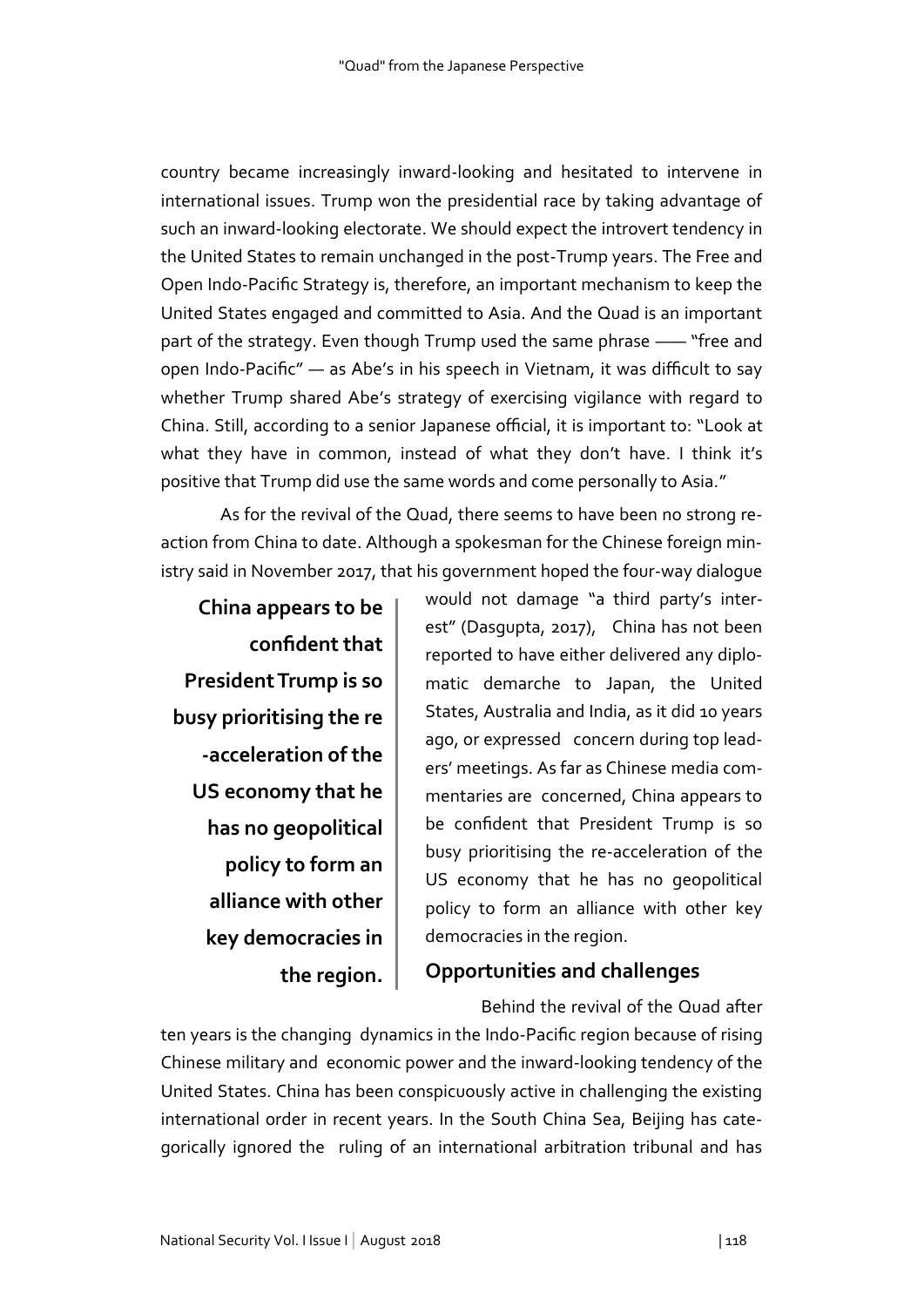country became increasingly inward-looking and hesitated to intervene in international issues. Trump won the presidential race by taking advantage of such an inward-looking electorate. We should expect the introvert tendency in the United States to remain unchanged in the post-Trump years. The Free and Open Indo-Pacific Strategy is, therefore, an important mechanism to keep the United States engaged and committed to Asia. And the Quad is an important part of the strategy. Even though Trump used the same phrase —— "free and open Indo-Pacific" — as Abe's in his speech in Vietnam, it was difficult to say whether Trump shared Abe's strategy of exercising vigilance with regard to China. Still, according to a senior Japanese official, it is important to: "Look at what they have in common, instead of what they don't have. I think it's positive that Trump did use the same words and come personally to Asia."

 As for the revival of the Quad, there seems to have been no strong reaction from China to date. Although a spokesman for the Chinese foreign ministry said in November 2017, that his government hoped the four-way dialogue

**China appears to be confident that President Trump is so busy prioritising the re -acceleration of the US economy that he has no geopolitical policy to form an alliance with other key democracies in the region.**

would not damage "a third party's interest" (Dasgupta, 2017), China has not been reported to have either delivered any diplomatic demarche to Japan, the United States, Australia and India, as it did 10 years ago, or expressed concern during top leaders' meetings. As far as Chinese media commentaries are concerned, China appears to be confident that President Trump is so busy prioritising the re-acceleration of the US economy that he has no geopolitical policy to form an alliance with other key democracies in the region.

# **Opportunities and challenges**

Behind the revival of the Quad after

ten years is the changing dynamics in the Indo-Pacific region because of rising Chinese military and economic power and the inward-looking tendency of the United States. China has been conspicuously active in challenging the existing international order in recent years. In the South China Sea, Beijing has categorically ignored the ruling of an international arbitration tribunal and has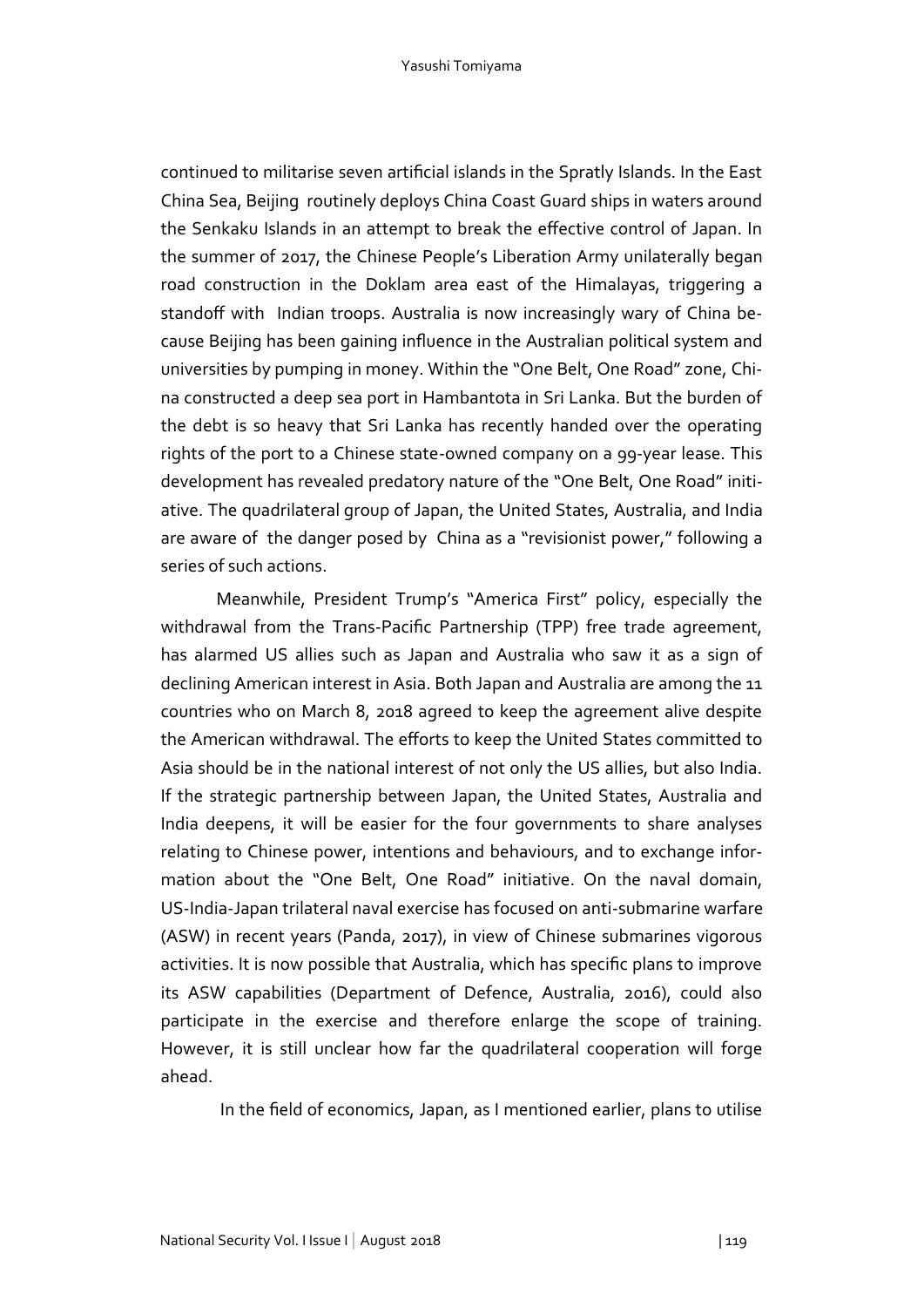continued to militarise seven artificial islands in the Spratly Islands. In the East China Sea, Beijing routinely deploys China Coast Guard ships in waters around the Senkaku Islands in an attempt to break the effective control of Japan. In the summer of 2017, the Chinese People's Liberation Army unilaterally began road construction in the Doklam area east of the Himalayas, triggering a standoff with Indian troops. Australia is now increasingly wary of China because Beijing has been gaining influence in the Australian political system and universities by pumping in money. Within the "One Belt, One Road" zone, China constructed a deep sea port in Hambantota in Sri Lanka. But the burden of the debt is so heavy that Sri Lanka has recently handed over the operating rights of the port to a Chinese state-owned company on a 99-year lease. This development has revealed predatory nature of the "One Belt, One Road" initiative. The quadrilateral group of Japan, the United States, Australia, and India are aware of the danger posed by China as a "revisionist power," following a series of such actions.

 Meanwhile, President Trump's "America First" policy, especially the withdrawal from the Trans-Pacific Partnership (TPP) free trade agreement, has alarmed US allies such as Japan and Australia who saw it as a sign of declining American interest in Asia. Both Japan and Australia are among the 11 countries who on March 8, 2018 agreed to keep the agreement alive despite the American withdrawal. The efforts to keep the United States committed to Asia should be in the national interest of not only the US allies, but also India. If the strategic partnership between Japan, the United States, Australia and India deepens, it will be easier for the four governments to share analyses relating to Chinese power, intentions and behaviours, and to exchange information about the "One Belt, One Road" initiative. On the naval domain, US-India-Japan trilateral naval exercise has focused on anti-submarine warfare (ASW) in recent years (Panda, 2017), in view of Chinese submarines vigorous activities. It is now possible that Australia, which has specific plans to improve its ASW capabilities (Department of Defence, Australia, 2016), could also participate in the exercise and therefore enlarge the scope of training. However, it is still unclear how far the quadrilateral cooperation will forge ahead.

In the field of economics, Japan, as I mentioned earlier, plans to utilise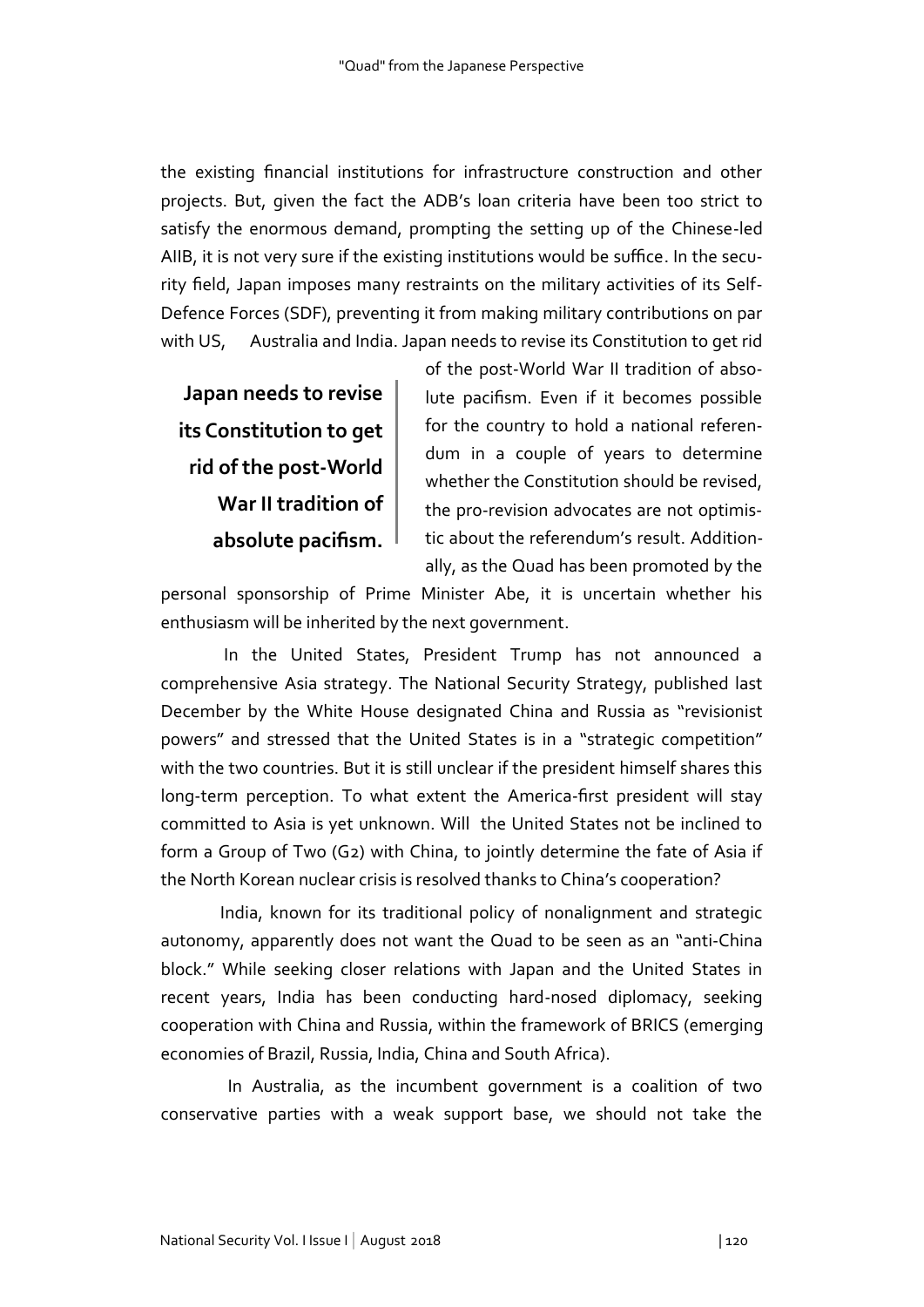the existing financial institutions for infrastructure construction and other projects. But, given the fact the ADB's loan criteria have been too strict to satisfy the enormous demand, prompting the setting up of the Chinese-led AIIB, it is not very sure if the existing institutions would be suffice. In the security field, Japan imposes many restraints on the military activities of its Self-Defence Forces (SDF), preventing it from making military contributions on par with US, Australia and India. Japan needs to revise its Constitution to get rid

**Japan needs to revise its Constitution to get rid of the post-World War II tradition of absolute pacifism.**

of the post-World War II tradition of absolute pacifism. Even if it becomes possible for the country to hold a national referendum in a couple of years to determine whether the Constitution should be revised, the pro-revision advocates are not optimistic about the referendum's result. Additionally, as the Quad has been promoted by the

personal sponsorship of Prime Minister Abe, it is uncertain whether his enthusiasm will be inherited by the next government.

 In the United States, President Trump has not announced a comprehensive Asia strategy. The National Security Strategy, published last December by the White House designated China and Russia as "revisionist powers" and stressed that the United States is in a "strategic competition" with the two countries. But it is still unclear if the president himself shares this long-term perception. To what extent the America-first president will stay committed to Asia is yet unknown. Will the United States not be inclined to form a Group of Two (G2) with China, to jointly determine the fate of Asia if the North Korean nuclear crisis is resolved thanks to China's cooperation?

 India, known for its traditional policy of nonalignment and strategic autonomy, apparently does not want the Quad to be seen as an "anti-China block." While seeking closer relations with Japan and the United States in recent years, India has been conducting hard-nosed diplomacy, seeking cooperation with China and Russia, within the framework of BRICS (emerging economies of Brazil, Russia, India, China and South Africa).

 In Australia, as the incumbent government is a coalition of two conservative parties with a weak support base, we should not take the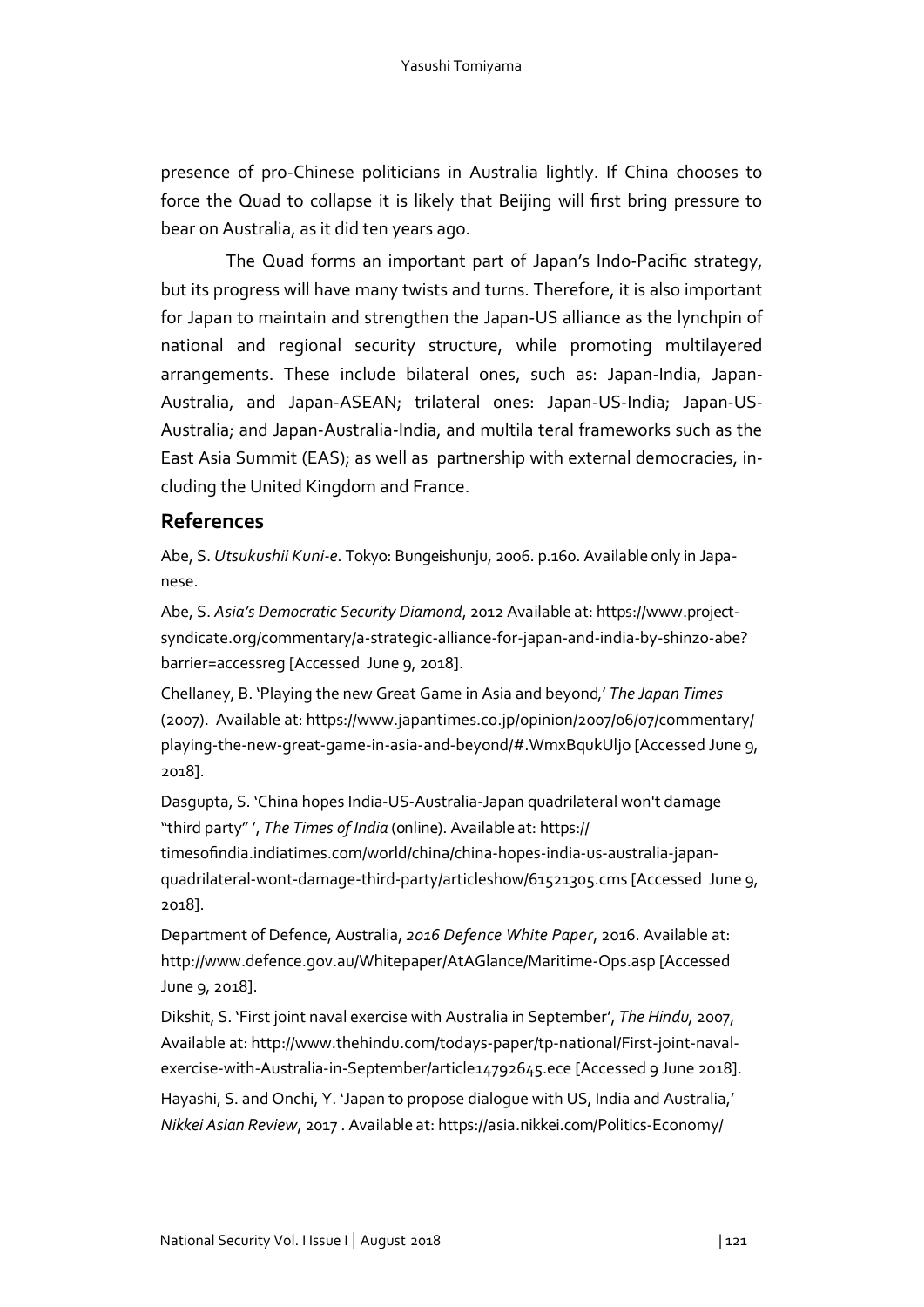presence of pro-Chinese politicians in Australia lightly. If China chooses to force the Quad to collapse it is likely that Beijing will first bring pressure to bear on Australia, as it did ten years ago.

The Quad forms an important part of Japan's Indo-Pacific strategy, but its progress will have many twists and turns. Therefore, it is also important for Japan to maintain and strengthen the Japan-US alliance as the lynchpin of national and regional security structure, while promoting multilayered arrangements. These include bilateral ones, such as: Japan-India, Japan-Australia, and Japan-ASEAN; trilateral ones: Japan-US-India; Japan-US-Australia; and Japan-Australia-India, and multila teral frameworks such as the East Asia Summit (EAS); as well as partnership with external democracies, including the United Kingdom and France.

# **References**

Abe, S. *Utsukushii Kuni-e*. Tokyo: Bungeishunju, 2006. p.160. Available only in Japanese.

Abe, S. *Asia's Democratic Security Diamond*, 2012 Available at: https://www.projectsyndicate.org/commentary/a-strategic-alliance-for-japan-and-india-by-shinzo-abe? barrier=accessreg [Accessed June 9, 2018].

Chellaney, B. 'Playing the new Great Game in Asia and beyond,' *The Japan Times* (2007). Available at: https://www.japantimes.co.jp/opinion/2007/06/07/commentary/ playing-the-new-great-game-in-asia-and-beyond/#.WmxBqukUljo [Accessed June 9, 2018].

Dasgupta, S. 'China hopes India-US-Australia-Japan quadrilateral won't damage "third party" ', *The Times of India* (online). Available at: https:// timesofindia.indiatimes.com/world/china/china-hopes-india-us-australia-japanquadrilateral-wont-damage-third-party/articleshow/61521305.cms [Accessed June 9, 2018].

Department of Defence, Australia, *2016 Defence White Paper*, 2016. Available at: http://www.defence.gov.au/Whitepaper/AtAGlance/Maritime-Ops.asp [Accessed June 9, 2018].

Dikshit, S. 'First joint naval exercise with Australia in September', *The Hindu,* 2007, Available at: http://www.thehindu.com/todays-paper/tp-national/First-joint-navalexercise-with-Australia-in-September/article14792645.ece [Accessed 9 June 2018]. Hayashi, S. and Onchi, Y. 'Japan to propose dialogue with US, India and Australia,'

*Nikkei Asian Review*, 2017 . Available at: https://asia.nikkei.com/Politics-Economy/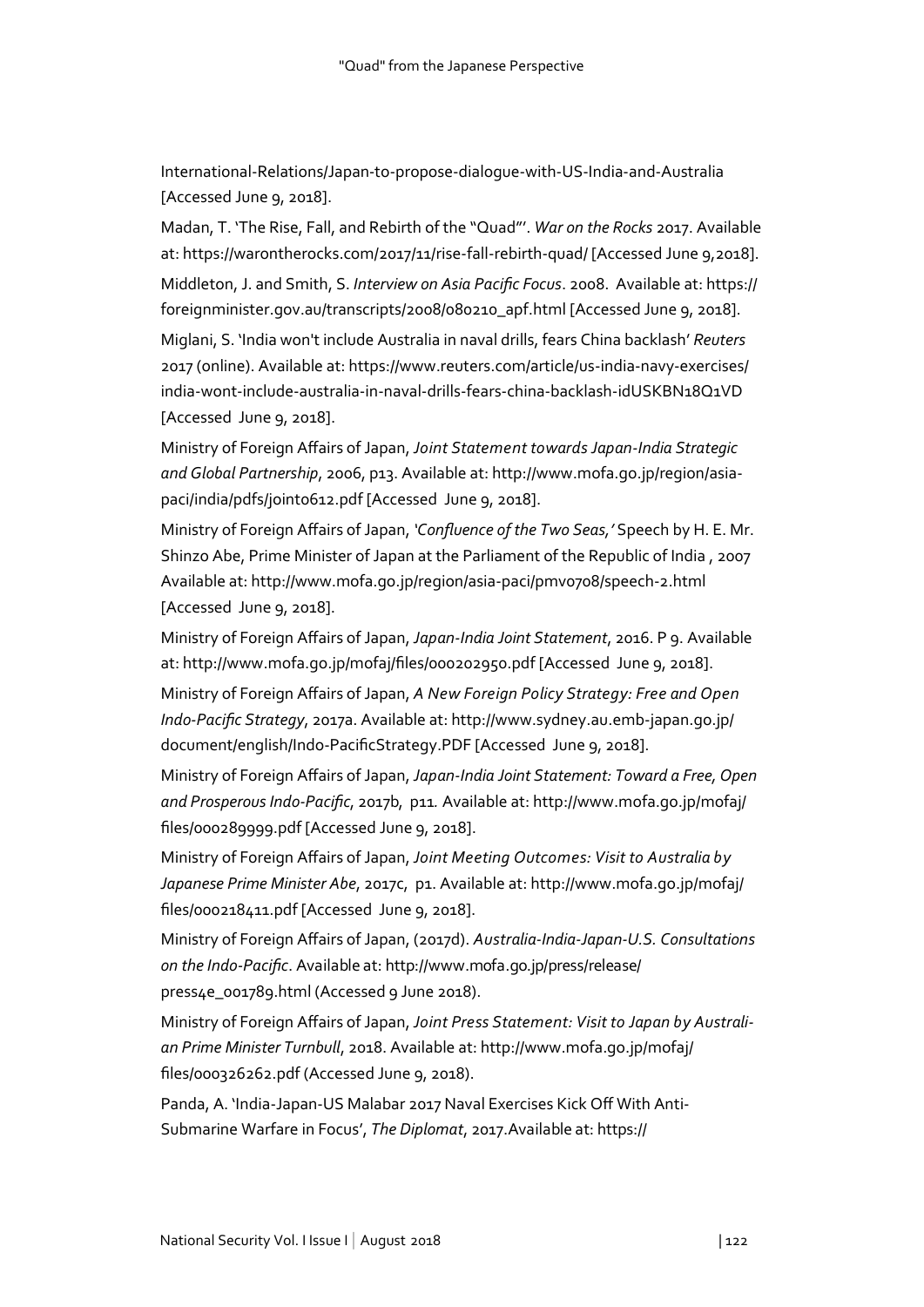International-Relations/Japan-to-propose-dialogue-with-US-India-and-Australia [Accessed June 9, 2018].

Madan, T. 'The Rise, Fall, and Rebirth of the "Quad"'. *War on the Rocks* 2017. Available at: https://warontherocks.com/2017/11/rise-fall-rebirth-quad/ [Accessed June 9,2018]. Middleton, J. and Smith, S. *Interview on Asia Pacific Focus*. 2008. Available at: https:// foreignminister.gov.au/transcripts/2008/080210\_apf.html [Accessed June 9, 2018].

Miglani, S. 'India won't include Australia in naval drills, fears China backlash' *Reuters* 2017 (online). Available at: https://www.reuters.com/article/us-india-navy-exercises/ india-wont-include-australia-in-naval-drills-fears-china-backlash-idUSKBN18Q1VD [Accessed June 9, 2018].

Ministry of Foreign Affairs of Japan, *Joint Statement towards Japan-India Strategic and Global Partnership*, 2006, p13. Available at: http://www.mofa.go.jp/region/asiapaci/india/pdfs/joint0612.pdf [Accessed June 9, 2018].

Ministry of Foreign Affairs of Japan, *'Confluence of the Two Seas,'* Speech by H. E. Mr. Shinzo Abe, Prime Minister of Japan at the Parliament of the Republic of India , 2007 Available at: http://www.mofa.go.jp/region/asia-paci/pmv0708/speech-2.html [Accessed June 9, 2018].

Ministry of Foreign Affairs of Japan, *Japan-India Joint Statement*, 2016. P 9. Available at: http://www.mofa.go.jp/mofaj/files/000202950.pdf [Accessed June 9, 2018].

Ministry of Foreign Affairs of Japan, *A New Foreign Policy Strategy: Free and Open Indo-Pacific Strategy*, 2017a. Available at: http://www.sydney.au.emb-japan.go.jp/ document/english/Indo-PacificStrategy.PDF [Accessed June 9, 2018].

Ministry of Foreign Affairs of Japan, *Japan-India Joint Statement: Toward a Free, Open and Prosperous Indo-Pacific*, 2017b, p11*.* Available at: http://www.mofa.go.jp/mofaj/ files/000289999.pdf [Accessed June 9, 2018].

Ministry of Foreign Affairs of Japan, *Joint Meeting Outcomes: Visit to Australia by Japanese Prime Minister Abe*, 2017c, p1. Available at: http://www.mofa.go.jp/mofaj/ files/000218411.pdf [Accessed June 9, 2018].

Ministry of Foreign Affairs of Japan, (2017d). *Australia-India-Japan-U.S. Consultations on the Indo-Pacific*. Available at: http://www.mofa.go.jp/press/release/ press4e\_001789.html (Accessed 9 June 2018).

Ministry of Foreign Affairs of Japan, *Joint Press Statement: Visit to Japan by Australian Prime Minister Turnbull*, 2018. Available at: http://www.mofa.go.jp/mofaj/ files/000326262.pdf (Accessed June 9, 2018).

Panda, A. 'India-Japan-US Malabar 2017 Naval Exercises Kick Off With Anti-Submarine Warfare in Focus', *The Diplomat*, 2017.Available at: https://